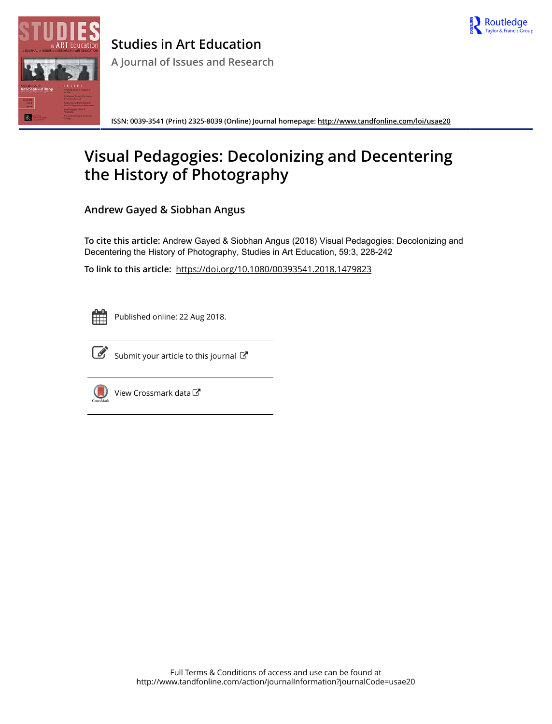



**ISSN: 0039-3541 (Print) 2325-8039 (Online) Journal homepage:<http://www.tandfonline.com/loi/usae20>**

# **Visual Pedagogies: Decolonizing and Decentering the History of Photography**

**Andrew Gayed & Siobhan Angus**

**To cite this article:** Andrew Gayed & Siobhan Angus (2018) Visual Pedagogies: Decolonizing and Decentering the History of Photography, Studies in Art Education, 59:3, 228-242

**To link to this article:** <https://doi.org/10.1080/00393541.2018.1479823>



Published online: 22 Aug 2018.



 $\overrightarrow{S}$  [Submit your article to this journal](http://www.tandfonline.com/action/authorSubmission?journalCode=usae20&show=instructions)  $\overrightarrow{S}$ 



[View Crossmark data](http://crossmark.crossref.org/dialog/?doi=10.1080/00393541.2018.1479823&domain=pdf&date_stamp=2018-08-22)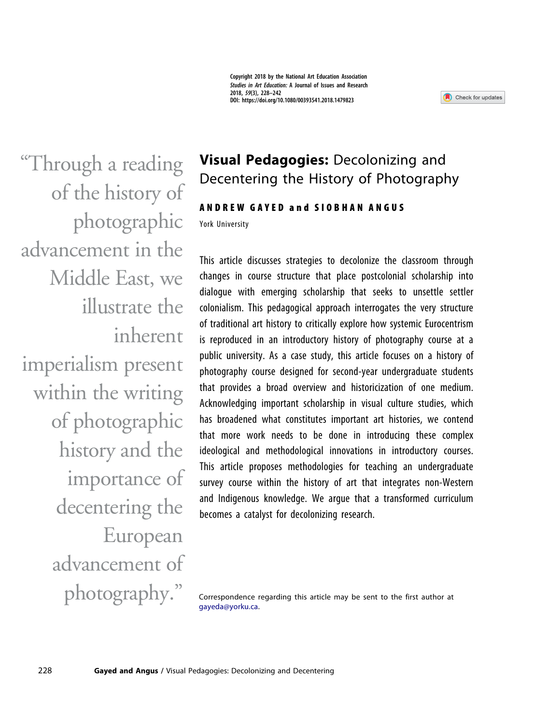"Through a reading of the history of photographic advancement in the Middle East, we illustrate the inherent imperialism present within the writing of photographic history and the importance of decentering the European advancement of photography."

# Visual Pedagogies: Decolonizing and Decentering the History of Photography

Check for updates

# ANDREW GAYED and SIOBHAN ANGUS

York University

This article discusses strategies to decolonize the classroom through changes in course structure that place postcolonial scholarship into dialogue with emerging scholarship that seeks to unsettle settler colonialism. This pedagogical approach interrogates the very structure of traditional art history to critically explore how systemic Eurocentrism is reproduced in an introductory history of photography course at a public university. As a case study, this article focuses on a history of photography course designed for second-year undergraduate students that provides a broad overview and historicization of one medium. Acknowledging important scholarship in visual culture studies, which has broadened what constitutes important art histories, we contend that more work needs to be done in introducing these complex ideological and methodological innovations in introductory courses. This article proposes methodologies for teaching an undergraduate survey course within the history of art that integrates non-Western and Indigenous knowledge. We argue that a transformed curriculum becomes a catalyst for decolonizing research.

Correspondence regarding this article may be sent to the first author at gayeda@yorku.ca.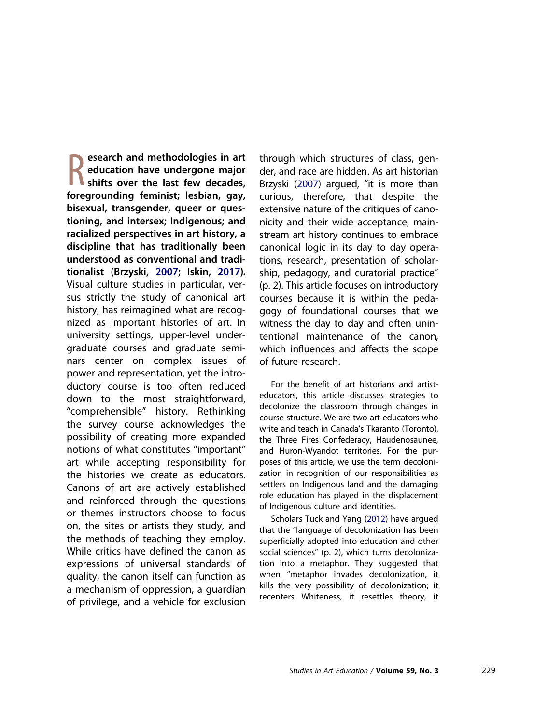<span id="page-2-1"></span>**R** estanch and methodologies in art<br>
ducation have undergone major<br>
shifts over the last few decades,<br>
foregrounding feminist; lesbian, gay, esearch and methodologies in art education have undergone major shifts over the last few decades, bisexual, transgender, queer or questioning, and intersex; Indigenous; and racialized perspectives in art history, a discipline that has traditionally been understood as conventional and traditionalist (Brzyski, [2007](#page-13-0); Iskin, [2017](#page-13-1)). Visual culture studies in particular, versus strictly the study of canonical art history, has reimagined what are recognized as important histories of art. In university settings, upper-level undergraduate courses and graduate seminars center on complex issues of power and representation, yet the introductory course is too often reduced down to the most straightforward, "comprehensible" history. Rethinking the survey course acknowledges the possibility of creating more expanded notions of what constitutes "important" art while accepting responsibility for the histories we create as educators. Canons of art are actively established and reinforced through the questions or themes instructors choose to focus on, the sites or artists they study, and the methods of teaching they employ. While critics have defined the canon as expressions of universal standards of quality, the canon itself can function as a mechanism of oppression, a guardian of privilege, and a vehicle for exclusion

<span id="page-2-0"></span>through which structures of class, gender, and race are hidden. As art historian Brzyski [\(2007\)](#page-13-0) argued, "it is more than curious, therefore, that despite the extensive nature of the critiques of canonicity and their wide acceptance, mainstream art history continues to embrace canonical logic in its day to day operations, research, presentation of scholarship, pedagogy, and curatorial practice" (p. 2). This article focuses on introductory courses because it is within the pedagogy of foundational courses that we witness the day to day and often unintentional maintenance of the canon, which influences and affects the scope of future research.

For the benefit of art historians and artisteducators, this article discusses strategies to decolonize the classroom through changes in course structure. We are two art educators who write and teach in Canada's Tkaranto (Toronto), the Three Fires Confederacy, Haudenosaunee, and Huron-Wyandot territories. For the purposes of this article, we use the term decolonization in recognition of our responsibilities as settlers on Indigenous land and the damaging role education has played in the displacement of Indigenous culture and identities.

<span id="page-2-2"></span>Scholars Tuck and Yang ([2012](#page-14-0)) have argued that the "language of decolonization has been superficially adopted into education and other social sciences" (p. 2), which turns decolonization into a metaphor. They suggested that when "metaphor invades decolonization, it kills the very possibility of decolonization; it recenters Whiteness, it resettles theory, it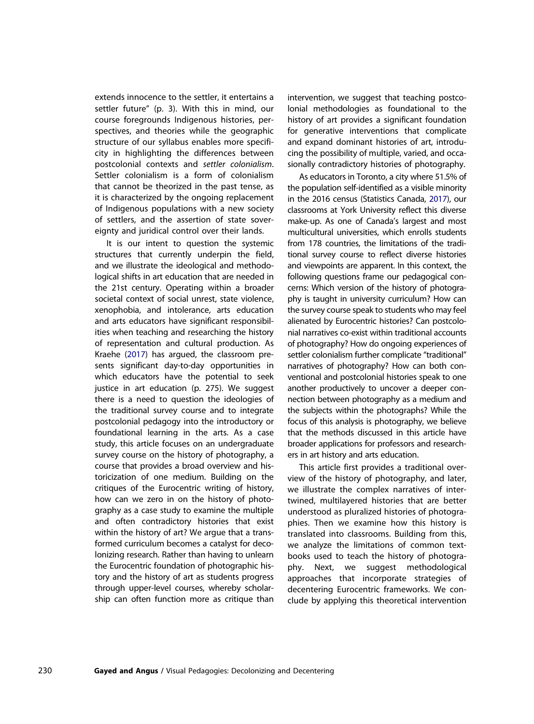extends innocence to the settler, it entertains a settler future" (p. 3). With this in mind, our course foregrounds Indigenous histories, perspectives, and theories while the geographic structure of our syllabus enables more specificity in highlighting the differences between postcolonial contexts and settler colonialism. Settler colonialism is a form of colonialism that cannot be theorized in the past tense, as it is characterized by the ongoing replacement of Indigenous populations with a new society of settlers, and the assertion of state sovereignty and juridical control over their lands.

<span id="page-3-0"></span>It is our intent to question the systemic structures that currently underpin the field, and we illustrate the ideological and methodological shifts in art education that are needed in the 21st century. Operating within a broader societal context of social unrest, state violence, xenophobia, and intolerance, arts education and arts educators have significant responsibilities when teaching and researching the history of representation and cultural production. As Kraehe [\(2017](#page-14-1)) has argued, the classroom presents significant day-to-day opportunities in which educators have the potential to seek justice in art education (p. 275). We suggest there is a need to question the ideologies of the traditional survey course and to integrate postcolonial pedagogy into the introductory or foundational learning in the arts. As a case study, this article focuses on an undergraduate survey course on the history of photography, a course that provides a broad overview and historicization of one medium. Building on the critiques of the Eurocentric writing of history, how can we zero in on the history of photography as a case study to examine the multiple and often contradictory histories that exist within the history of art? We argue that a transformed curriculum becomes a catalyst for decolonizing research. Rather than having to unlearn the Eurocentric foundation of photographic history and the history of art as students progress through upper-level courses, whereby scholarship can often function more as critique than

intervention, we suggest that teaching postcolonial methodologies as foundational to the history of art provides a significant foundation for generative interventions that complicate and expand dominant histories of art, introducing the possibility of multiple, varied, and occasionally contradictory histories of photography.

<span id="page-3-1"></span>As educators in Toronto, a city where 51.5% of the population self-identified as a visible minority in the 2016 census (Statistics Canada, [2017](#page-14-2)), our classrooms at York University reflect this diverse make-up. As one of Canada's largest and most multicultural universities, which enrolls students from 178 countries, the limitations of the traditional survey course to reflect diverse histories and viewpoints are apparent. In this context, the following questions frame our pedagogical concerns: Which version of the history of photography is taught in university curriculum? How can the survey course speak to students who may feel alienated by Eurocentric histories? Can postcolonial narratives co-exist within traditional accounts of photography? How do ongoing experiences of settler colonialism further complicate "traditional" narratives of photography? How can both conventional and postcolonial histories speak to one another productively to uncover a deeper connection between photography as a medium and the subjects within the photographs? While the focus of this analysis is photography, we believe that the methods discussed in this article have broader applications for professors and researchers in art history and arts education.

This article first provides a traditional overview of the history of photography, and later, we illustrate the complex narratives of intertwined, multilayered histories that are better understood as pluralized histories of photographies. Then we examine how this history is translated into classrooms. Building from this, we analyze the limitations of common textbooks used to teach the history of photography. Next, we suggest methodological approaches that incorporate strategies of decentering Eurocentric frameworks. We conclude by applying this theoretical intervention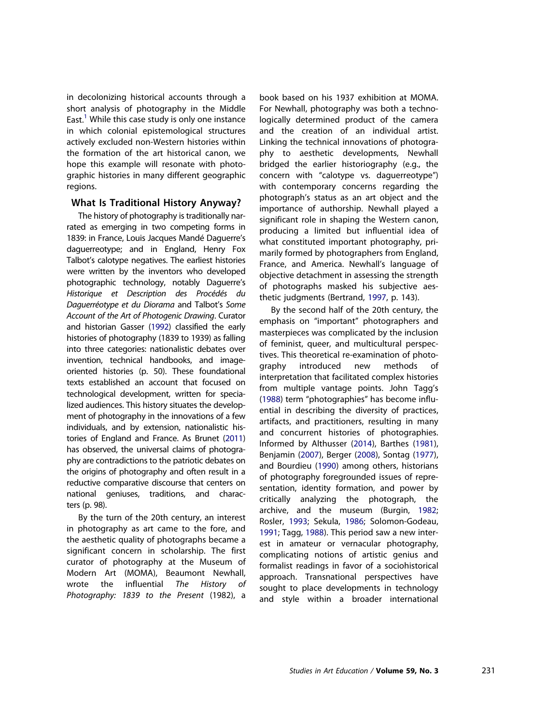in decolonizing historical accounts through a short analysis of photography in the Middle East.<sup>1</sup> While this case study is only one instance in which colonial epistemological structures actively excluded non-Western histories within the formation of the art historical canon, we hope this example will resonate with photographic histories in many different geographic regions.

#### What Is Traditional History Anyway?

<span id="page-4-6"></span>The history of photography is traditionally narrated as emerging in two competing forms in 1839: in France, Louis Jacques Mandé Daguerre's daguerreotype; and in England, Henry Fox Talbot's calotype negatives. The earliest histories were written by the inventors who developed photographic technology, notably Daguerre's Historique et Description des Procédés du Daguerréotype et du Diorama and Talbot's Some Account of the Art of Photogenic Drawing. Curator and historian Gasser ([1992](#page-13-2)) classified the early histories of photography (1839 to 1939) as falling into three categories: nationalistic debates over invention, technical handbooks, and imageoriented histories (p. 50). These foundational texts established an account that focused on technological development, written for specialized audiences. This history situates the development of photography in the innovations of a few individuals, and by extension, nationalistic histories of England and France. As Brunet ([2011\)](#page-13-3) has observed, the universal claims of photography are contradictions to the patriotic debates on the origins of photography and often result in a reductive comparative discourse that centers on national geniuses, traditions, and characters (p. 98).

<span id="page-4-8"></span><span id="page-4-7"></span><span id="page-4-5"></span><span id="page-4-4"></span>By the turn of the 20th century, an interest in photography as art came to the fore, and the aesthetic quality of photographs became a significant concern in scholarship. The first curator of photography at the Museum of Modern Art (MOMA), Beaumont Newhall, wrote the influential The History of Photography: 1839 to the Present (1982), a

book based on his 1937 exhibition at MOMA. For Newhall, photography was both a technologically determined product of the camera and the creation of an individual artist. Linking the technical innovations of photography to aesthetic developments, Newhall bridged the earlier historiography (e.g., the concern with "calotype vs. daguerreotype") with contemporary concerns regarding the photograph's status as an art object and the importance of authorship. Newhall played a significant role in shaping the Western canon, producing a limited but influential idea of what constituted important photography, primarily formed by photographers from England, France, and America. Newhall's language of objective detachment in assessing the strength of photographs masked his subjective aesthetic judgments (Bertrand, [1997,](#page-13-4) p. 143).

<span id="page-4-3"></span><span id="page-4-2"></span><span id="page-4-1"></span><span id="page-4-0"></span>By the second half of the 20th century, the emphasis on "important" photographers and masterpieces was complicated by the inclusion of feminist, queer, and multicultural perspectives. This theoretical re-examination of photography introduced new methods of interpretation that facilitated complex histories from multiple vantage points. John Tagg's [\(1988\)](#page-14-3) term "photographies" has become influential in describing the diversity of practices, artifacts, and practitioners, resulting in many and concurrent histories of photographies. Informed by Althusser ([2014](#page-13-5)), Barthes [\(1981\)](#page-13-6), Benjamin ([2007](#page-13-7)), Berger [\(2008\)](#page-13-8), Sontag [\(1977\)](#page-14-4), and Bourdieu [\(1990\)](#page-13-9) among others, historians of photography foregrounded issues of representation, identity formation, and power by critically analyzing the photograph, the archive, and the museum (Burgin, [1982](#page-13-10); Rosler, [1993](#page-14-5); Sekula, [1986](#page-14-6); Solomon-Godeau, [1991](#page-14-7); Tagg, [1988\)](#page-14-3). This period saw a new interest in amateur or vernacular photography, complicating notions of artistic genius and formalist readings in favor of a sociohistorical approach. Transnational perspectives have sought to place developments in technology and style within a broader international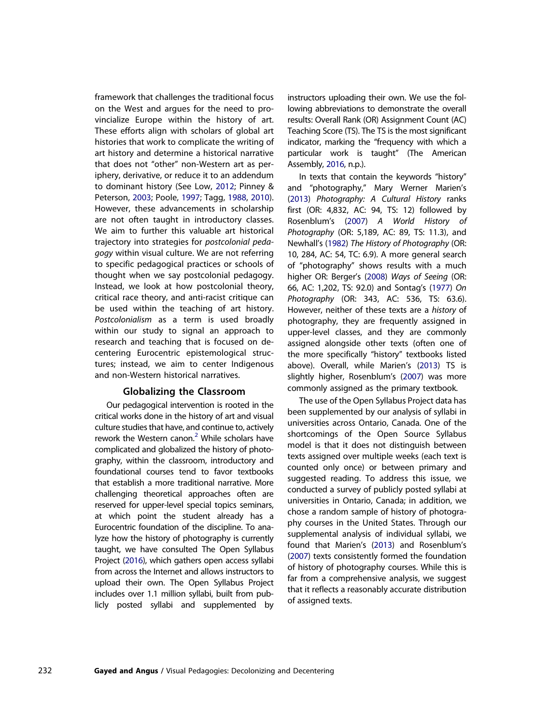<span id="page-5-4"></span><span id="page-5-1"></span>framework that challenges the traditional focus on the West and argues for the need to provincialize Europe within the history of art. These efforts align with scholars of global art histories that work to complicate the writing of art history and determine a historical narrative that does not "other" non-Western art as periphery, derivative, or reduce it to an addendum to dominant history (See Low, [2012](#page-14-8); Pinney & Peterson, [2003;](#page-14-9) Poole, [1997;](#page-14-10) Tagg, [1988,](#page-14-3) [2010](#page-14-11)). However, these advancements in scholarship are not often taught in introductory classes. We aim to further this valuable art historical trajectory into strategies for postcolonial pedagogy within visual culture. We are not referring to specific pedagogical practices or schools of thought when we say postcolonial pedagogy. Instead, we look at how postcolonial theory, critical race theory, and anti-racist critique can be used within the teaching of art history. Postcolonialism as a term is used broadly within our study to signal an approach to research and teaching that is focused on decentering Eurocentric epistemological structures; instead, we aim to center Indigenous and non-Western historical narratives.

#### Globalizing the Classroom

Our pedagogical intervention is rooted in the critical works done in the history of art and visual culture studies that have, and continue to, actively rework the Western canon.<sup>[2](#page-15-1)</sup> While scholars have complicated and globalized the history of photography, within the classroom, introductory and foundational courses tend to favor textbooks that establish a more traditional narrative. More challenging theoretical approaches often are reserved for upper-level special topics seminars, at which point the student already has a Eurocentric foundation of the discipline. To analyze how the history of photography is currently taught, we have consulted The Open Syllabus Project [\(2016\)](#page-13-11), which gathers open access syllabi from across the Internet and allows instructors to upload their own. The Open Syllabus Project includes over 1.1 million syllabi, built from publicly posted syllabi and supplemented by instructors uploading their own. We use the following abbreviations to demonstrate the overall results: Overall Rank (OR) Assignment Count (AC) Teaching Score (TS). The TS is the most significant indicator, marking the "frequency with which a particular work is taught" (The American Assembly, [2016](#page-13-11), n.p.).

<span id="page-5-3"></span><span id="page-5-0"></span>In texts that contain the keywords "history" and "photography," Mary Werner Marien's ([2013](#page-14-12)) Photography: A Cultural History ranks first (OR: 4,832, AC: 94, TS: 12) followed by Rosenblum's ([2007\)](#page-14-13) A World History of Photography (OR: 5,189, AC: 89, TS: 11.3), and Newhall's [\(1982\)](#page-14-14) The History of Photography (OR: 10, 284, AC: 54, TC: 6.9). A more general search of "photography" shows results with a much higher OR: Berger's ([2008\)](#page-13-8) Ways of Seeing (OR: 66, AC: 1,202, TS: 92.0) and Sontag's ([1977\)](#page-14-4) On Photography (OR: 343, AC: 536, TS: 63.6). However, neither of these texts are a history of photography, they are frequently assigned in upper-level classes, and they are commonly assigned alongside other texts (often one of the more specifically "history" textbooks listed above). Overall, while Marien's [\(2013](#page-14-12)) TS is slightly higher, Rosenblum's ([2007\)](#page-14-13) was more commonly assigned as the primary textbook.

<span id="page-5-5"></span><span id="page-5-2"></span>The use of the Open Syllabus Project data has been supplemented by our analysis of syllabi in universities across Ontario, Canada. One of the shortcomings of the Open Source Syllabus model is that it does not distinguish between texts assigned over multiple weeks (each text is counted only once) or between primary and suggested reading. To address this issue, we conducted a survey of publicly posted syllabi at universities in Ontario, Canada; in addition, we chose a random sample of history of photography courses in the United States. Through our supplemental analysis of individual syllabi, we found that Marien's [\(2013](#page-14-12)) and Rosenblum's ([2007](#page-14-13)) texts consistently formed the foundation of history of photography courses. While this is far from a comprehensive analysis, we suggest that it reflects a reasonably accurate distribution of assigned texts.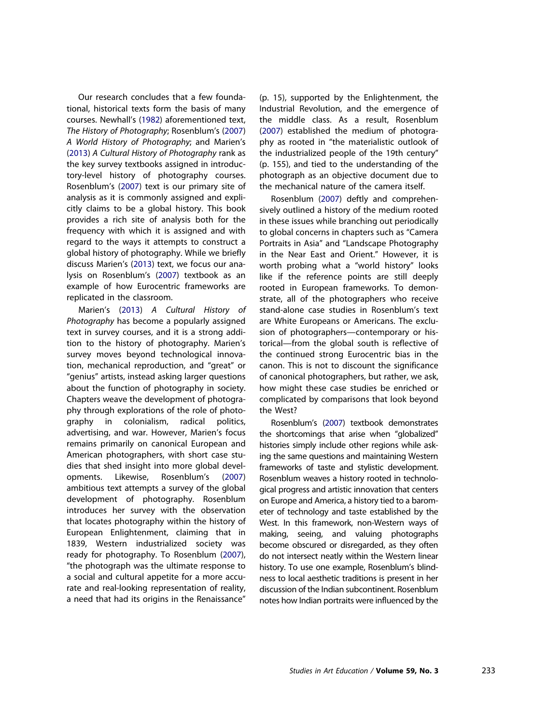Our research concludes that a few foundational, historical texts form the basis of many courses. Newhall's ([1982](#page-14-14)) aforementioned text, The History of Photography; Rosenblum's [\(2007\)](#page-14-13) A World History of Photography; and Marien's [\(2013\)](#page-14-12) A Cultural History of Photography rank as the key survey textbooks assigned in introductory-level history of photography courses. Rosenblum's ([2007](#page-14-13)) text is our primary site of analysis as it is commonly assigned and explicitly claims to be a global history. This book provides a rich site of analysis both for the frequency with which it is assigned and with regard to the ways it attempts to construct a global history of photography. While we briefly discuss Marien's ([2013](#page-14-12)) text, we focus our analysis on Rosenblum's [\(2007\)](#page-14-13) textbook as an example of how Eurocentric frameworks are replicated in the classroom.

Marien's ([2013](#page-14-12)) A Cultural History of Photography has become a popularly assigned text in survey courses, and it is a strong addition to the history of photography. Marien's survey moves beyond technological innovation, mechanical reproduction, and "great" or "genius" artists, instead asking larger questions about the function of photography in society. Chapters weave the development of photography through explorations of the role of photography in colonialism, radical politics, advertising, and war. However, Marien's focus remains primarily on canonical European and American photographers, with short case studies that shed insight into more global developments. Likewise, Rosenblum's [\(2007\)](#page-14-13) ambitious text attempts a survey of the global development of photography. Rosenblum introduces her survey with the observation that locates photography within the history of European Enlightenment, claiming that in 1839, Western industrialized society was ready for photography. To Rosenblum [\(2007\)](#page-14-13), "the photograph was the ultimate response to a social and cultural appetite for a more accurate and real-looking representation of reality, a need that had its origins in the Renaissance"

(p. 15), supported by the Enlightenment, the Industrial Revolution, and the emergence of the middle class. As a result, Rosenblum [\(2007\)](#page-14-13) established the medium of photography as rooted in "the materialistic outlook of the industrialized people of the 19th century" (p. 155), and tied to the understanding of the photograph as an objective document due to the mechanical nature of the camera itself.

Rosenblum [\(2007\)](#page-14-13) deftly and comprehensively outlined a history of the medium rooted in these issues while branching out periodically to global concerns in chapters such as "Camera Portraits in Asia" and "Landscape Photography in the Near East and Orient." However, it is worth probing what a "world history" looks like if the reference points are still deeply rooted in European frameworks. To demonstrate, all of the photographers who receive stand-alone case studies in Rosenblum's text are White Europeans or Americans. The exclusion of photographers—contemporary or historical—from the global south is reflective of the continued strong Eurocentric bias in the canon. This is not to discount the significance of canonical photographers, but rather, we ask, how might these case studies be enriched or complicated by comparisons that look beyond the West?

Rosenblum's [\(2007\)](#page-14-13) textbook demonstrates the shortcomings that arise when "globalized" histories simply include other regions while asking the same questions and maintaining Western frameworks of taste and stylistic development. Rosenblum weaves a history rooted in technological progress and artistic innovation that centers on Europe and America, a history tied to a barometer of technology and taste established by the West. In this framework, non-Western ways of making, seeing, and valuing photographs become obscured or disregarded, as they often do not intersect neatly within the Western linear history. To use one example, Rosenblum's blindness to local aesthetic traditions is present in her discussion of the Indian subcontinent. Rosenblum notes how Indian portraits were influenced by the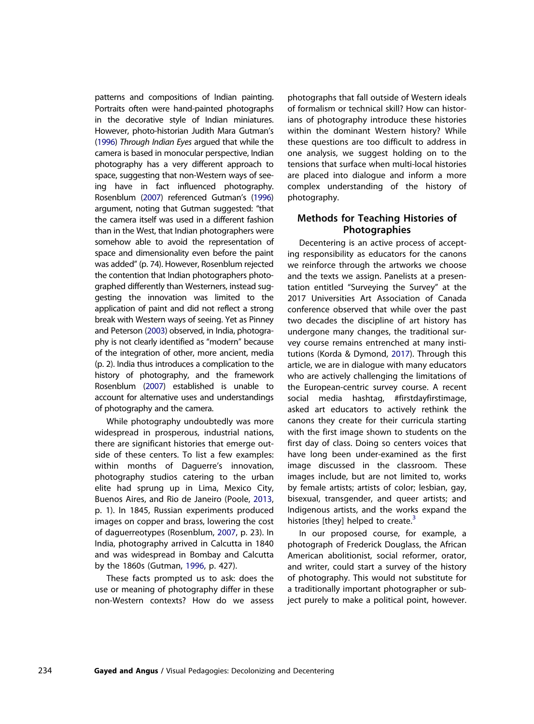patterns and compositions of Indian painting. Portraits often were hand-painted photographs in the decorative style of Indian miniatures. However, photo-historian Judith Mara Gutman's ([1996\)](#page-13-12) Through Indian Eyes argued that while the camera is based in monocular perspective, Indian photography has a very different approach to space, suggesting that non-Western ways of seeing have in fact influenced photography. Rosenblum [\(2007\)](#page-14-13) referenced Gutman's [\(1996](#page-13-12)) argument, noting that Gutman suggested: "that the camera itself was used in a different fashion than in the West, that Indian photographers were somehow able to avoid the representation of space and dimensionality even before the paint was added" (p. 74). However, Rosenblum rejected the contention that Indian photographers photographed differently than Westerners, instead suggesting the innovation was limited to the application of paint and did not reflect a strong break with Western ways of seeing. Yet as Pinney and Peterson [\(2003\)](#page-14-9) observed, in India, photography is not clearly identified as "modern" because of the integration of other, more ancient, media (p. 2). India thus introduces a complication to the history of photography, and the framework Rosenblum [\(2007](#page-14-13)) established is unable to account for alternative uses and understandings of photography and the camera.

<span id="page-7-2"></span>While photography undoubtedly was more widespread in prosperous, industrial nations, there are significant histories that emerge outside of these centers. To list a few examples: within months of Daguerre's innovation, photography studios catering to the urban elite had sprung up in Lima, Mexico City, Buenos Aires, and Rio de Janeiro (Poole, [2013,](#page-14-15) p. 1). In 1845, Russian experiments produced images on copper and brass, lowering the cost of daguerreotypes (Rosenblum, [2007,](#page-14-13) p. 23). In India, photography arrived in Calcutta in 1840 and was widespread in Bombay and Calcutta by the 1860s (Gutman, [1996,](#page-13-12) p. 427).

<span id="page-7-0"></span>These facts prompted us to ask: does the use or meaning of photography differ in these non-Western contexts? How do we assess

photographs that fall outside of Western ideals of formalism or technical skill? How can historians of photography introduce these histories within the dominant Western history? While these questions are too difficult to address in one analysis, we suggest holding on to the tensions that surface when multi-local histories are placed into dialogue and inform a more complex understanding of the history of photography.

## Methods for Teaching Histories of Photographies

<span id="page-7-1"></span>Decentering is an active process of accepting responsibility as educators for the canons we reinforce through the artworks we choose and the texts we assign. Panelists at a presentation entitled "Surveying the Survey" at the 2017 Universities Art Association of Canada conference observed that while over the past two decades the discipline of art history has undergone many changes, the traditional survey course remains entrenched at many institutions (Korda & Dymond, [2017](#page-14-16)). Through this article, we are in dialogue with many educators who are actively challenging the limitations of the European-centric survey course. A recent social media hashtag, #firstdayfirstimage, asked art educators to actively rethink the canons they create for their curricula starting with the first image shown to students on the first day of class. Doing so centers voices that have long been under-examined as the first image discussed in the classroom. These images include, but are not limited to, works by female artists; artists of color; lesbian, gay, bisexual, transgender, and queer artists; and Indigenous artists, and the works expand the histories [they] helped to create.<sup>3</sup>

In our proposed course, for example, a photograph of Frederick Douglass, the African American abolitionist, social reformer, orator, and writer, could start a survey of the history of photography. This would not substitute for a traditionally important photographer or subject purely to make a political point, however.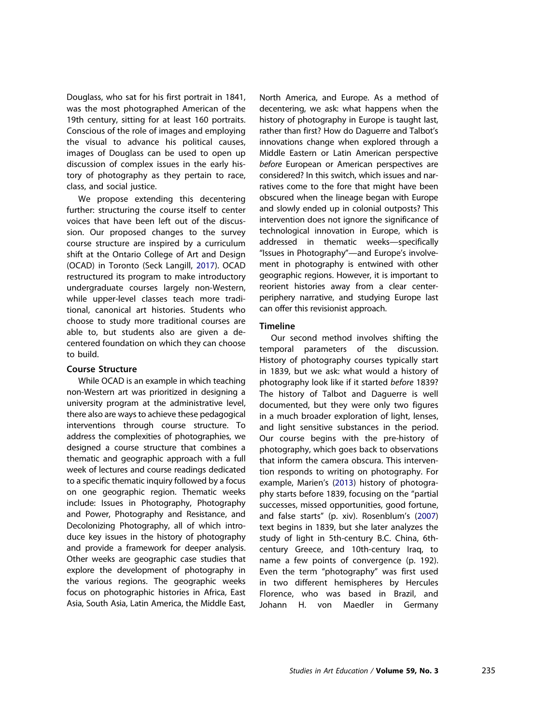Douglass, who sat for his first portrait in 1841, was the most photographed American of the 19th century, sitting for at least 160 portraits. Conscious of the role of images and employing the visual to advance his political causes, images of Douglass can be used to open up discussion of complex issues in the early history of photography as they pertain to race, class, and social justice.

<span id="page-8-0"></span>We propose extending this decentering further: structuring the course itself to center voices that have been left out of the discussion. Our proposed changes to the survey course structure are inspired by a curriculum shift at the Ontario College of Art and Design (OCAD) in Toronto (Seck Langill, [2017\)](#page-14-17). OCAD restructured its program to make introductory undergraduate courses largely non-Western, while upper-level classes teach more traditional, canonical art histories. Students who choose to study more traditional courses are able to, but students also are given a decentered foundation on which they can choose to build.

#### Course Structure

While OCAD is an example in which teaching non-Western art was prioritized in designing a university program at the administrative level, there also are ways to achieve these pedagogical interventions through course structure. To address the complexities of photographies, we designed a course structure that combines a thematic and geographic approach with a full week of lectures and course readings dedicated to a specific thematic inquiry followed by a focus on one geographic region. Thematic weeks include: Issues in Photography, Photography and Power, Photography and Resistance, and Decolonizing Photography, all of which introduce key issues in the history of photography and provide a framework for deeper analysis. Other weeks are geographic case studies that explore the development of photography in the various regions. The geographic weeks focus on photographic histories in Africa, East Asia, South Asia, Latin America, the Middle East,

North America, and Europe. As a method of decentering, we ask: what happens when the history of photography in Europe is taught last, rather than first? How do Daguerre and Talbot's innovations change when explored through a Middle Eastern or Latin American perspective before European or American perspectives are considered? In this switch, which issues and narratives come to the fore that might have been obscured when the lineage began with Europe and slowly ended up in colonial outposts? This intervention does not ignore the significance of technological innovation in Europe, which is addressed in thematic weeks—specifically "Issues in Photography"—and Europe's involvement in photography is entwined with other geographic regions. However, it is important to reorient histories away from a clear centerperiphery narrative, and studying Europe last can offer this revisionist approach.

#### Timeline

Our second method involves shifting the temporal parameters of the discussion. History of photography courses typically start in 1839, but we ask: what would a history of photography look like if it started before 1839? The history of Talbot and Daguerre is well documented, but they were only two figures in a much broader exploration of light, lenses, and light sensitive substances in the period. Our course begins with the pre-history of photography, which goes back to observations that inform the camera obscura. This intervention responds to writing on photography. For example, Marien's [\(2013\)](#page-14-12) history of photography starts before 1839, focusing on the "partial successes, missed opportunities, good fortune, and false starts" (p. xiv). Rosenblum's [\(2007\)](#page-14-13) text begins in 1839, but she later analyzes the study of light in 5th-century B.C. China, 6thcentury Greece, and 10th-century Iraq, to name a few points of convergence (p. 192). Even the term "photography" was first used in two different hemispheres by Hercules Florence, who was based in Brazil, and Johann H. von Maedler in Germany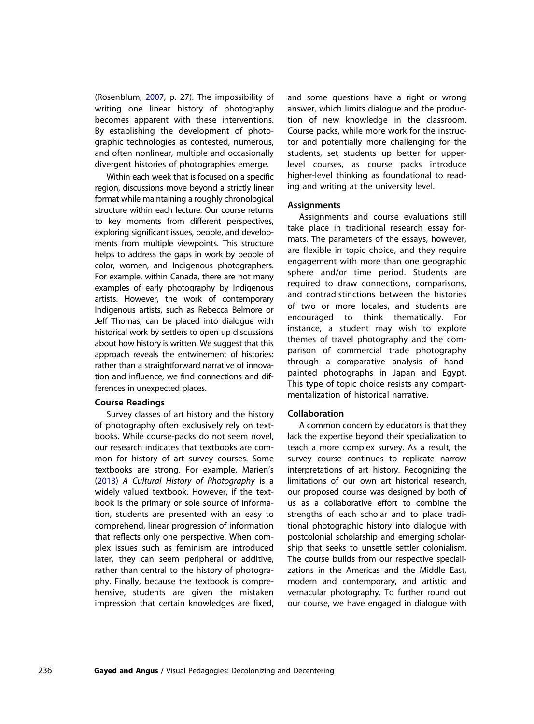(Rosenblum, [2007,](#page-14-13) p. 27). The impossibility of writing one linear history of photography becomes apparent with these interventions. By establishing the development of photographic technologies as contested, numerous, and often nonlinear, multiple and occasionally divergent histories of photographies emerge.

Within each week that is focused on a specific region, discussions move beyond a strictly linear format while maintaining a roughly chronological structure within each lecture. Our course returns to key moments from different perspectives, exploring significant issues, people, and developments from multiple viewpoints. This structure helps to address the gaps in work by people of color, women, and Indigenous photographers. For example, within Canada, there are not many examples of early photography by Indigenous artists. However, the work of contemporary Indigenous artists, such as Rebecca Belmore or Jeff Thomas, can be placed into dialogue with historical work by settlers to open up discussions about how history is written. We suggest that this approach reveals the entwinement of histories: rather than a straightforward narrative of innovation and influence, we find connections and differences in unexpected places.

#### Course Readings

Survey classes of art history and the history of photography often exclusively rely on textbooks. While course-packs do not seem novel, our research indicates that textbooks are common for history of art survey courses. Some textbooks are strong. For example, Marien's ([2013](#page-14-12)) A Cultural History of Photography is a widely valued textbook. However, if the textbook is the primary or sole source of information, students are presented with an easy to comprehend, linear progression of information that reflects only one perspective. When complex issues such as feminism are introduced later, they can seem peripheral or additive, rather than central to the history of photography. Finally, because the textbook is comprehensive, students are given the mistaken impression that certain knowledges are fixed,

and some questions have a right or wrong answer, which limits dialogue and the production of new knowledge in the classroom. Course packs, while more work for the instructor and potentially more challenging for the students, set students up better for upperlevel courses, as course packs introduce higher-level thinking as foundational to reading and writing at the university level.

#### **Assignments**

Assignments and course evaluations still take place in traditional research essay formats. The parameters of the essays, however, are flexible in topic choice, and they require engagement with more than one geographic sphere and/or time period. Students are required to draw connections, comparisons, and contradistinctions between the histories of two or more locales, and students are encouraged to think thematically. For instance, a student may wish to explore themes of travel photography and the comparison of commercial trade photography through a comparative analysis of handpainted photographs in Japan and Egypt. This type of topic choice resists any compartmentalization of historical narrative.

#### Collaboration

A common concern by educators is that they lack the expertise beyond their specialization to teach a more complex survey. As a result, the survey course continues to replicate narrow interpretations of art history. Recognizing the limitations of our own art historical research, our proposed course was designed by both of us as a collaborative effort to combine the strengths of each scholar and to place traditional photographic history into dialogue with postcolonial scholarship and emerging scholarship that seeks to unsettle settler colonialism. The course builds from our respective specializations in the Americas and the Middle East, modern and contemporary, and artistic and vernacular photography. To further round out our course, we have engaged in dialogue with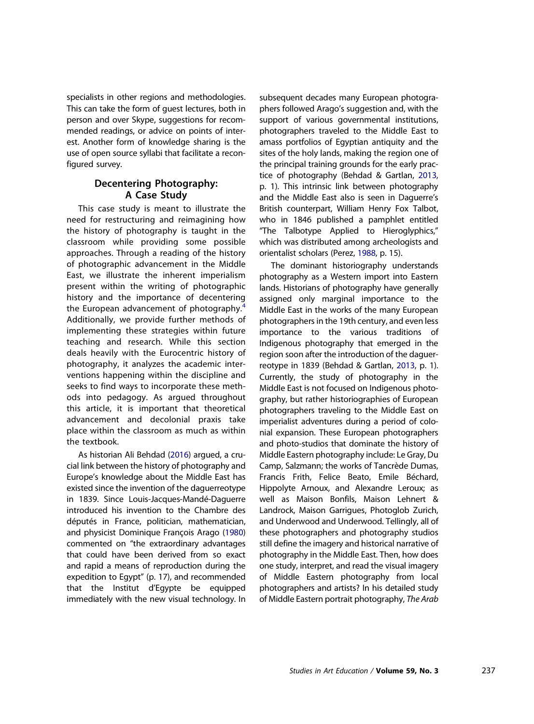specialists in other regions and methodologies. This can take the form of guest lectures, both in person and over Skype, suggestions for recommended readings, or advice on points of interest. Another form of knowledge sharing is the use of open source syllabi that facilitate a reconfigured survey.

### Decentering Photography: A Case Study

This case study is meant to illustrate the need for restructuring and reimagining how the history of photography is taught in the classroom while providing some possible approaches. Through a reading of the history of photographic advancement in the Middle East, we illustrate the inherent imperialism present within the writing of photographic history and the importance of decentering the European advancement of photography.<sup>[4](#page-15-3)</sup> Additionally, we provide further methods of implementing these strategies within future teaching and research. While this section deals heavily with the Eurocentric history of photography, it analyzes the academic interventions happening within the discipline and seeks to find ways to incorporate these methods into pedagogy. As argued throughout this article, it is important that theoretical advancement and decolonial praxis take place within the classroom as much as within the textbook.

<span id="page-10-1"></span><span id="page-10-0"></span>As historian Ali Behdad ([2016\)](#page-13-13) argued, a crucial link between the history of photography and Europe's knowledge about the Middle East has existed since the invention of the daguerreotype in 1839. Since Louis-Jacques-Mandé-Daguerre introduced his invention to the Chambre des députés in France, politician, mathematician, and physicist Dominique François Arago [\(1980\)](#page-13-14) commented on "the extraordinary advantages that could have been derived from so exact and rapid a means of reproduction during the expedition to Egypt" (p. 17), and recommended that the Institut d'Egypte be equipped immediately with the new visual technology. In subsequent decades many European photographers followed Arago's suggestion and, with the support of various governmental institutions, photographers traveled to the Middle East to amass portfolios of Egyptian antiquity and the sites of the holy lands, making the region one of the principal training grounds for the early practice of photography (Behdad & Gartlan, [2013](#page-13-15), p. 1). This intrinsic link between photography and the Middle East also is seen in Daguerre's British counterpart, William Henry Fox Talbot, who in 1846 published a pamphlet entitled "The Talbotype Applied to Hieroglyphics," which was distributed among archeologists and orientalist scholars (Perez, [1988,](#page-14-18) p. 15).

<span id="page-10-3"></span><span id="page-10-2"></span>The dominant historiography understands photography as a Western import into Eastern lands. Historians of photography have generally assigned only marginal importance to the Middle East in the works of the many European photographers in the 19th century, and even less importance to the various traditions of Indigenous photography that emerged in the region soon after the introduction of the daguerreotype in 1839 (Behdad & Gartlan, [2013,](#page-13-15) p. 1). Currently, the study of photography in the Middle East is not focused on Indigenous photography, but rather historiographies of European photographers traveling to the Middle East on imperialist adventures during a period of colonial expansion. These European photographers and photo-studios that dominate the history of Middle Eastern photography include: Le Gray, Du Camp, Salzmann; the works of Tancrède Dumas, Francis Frith, Felice Beato, Emile Béchard, Hippolyte Arnoux, and Alexandre Leroux; as well as Maison Bonfils, Maison Lehnert & Landrock, Maison Garrigues, Photoglob Zurich, and Underwood and Underwood. Tellingly, all of these photographers and photography studios still define the imagery and historical narrative of photography in the Middle East. Then, how does one study, interpret, and read the visual imagery of Middle Eastern photography from local photographers and artists? In his detailed study of Middle Eastern portrait photography, The Arab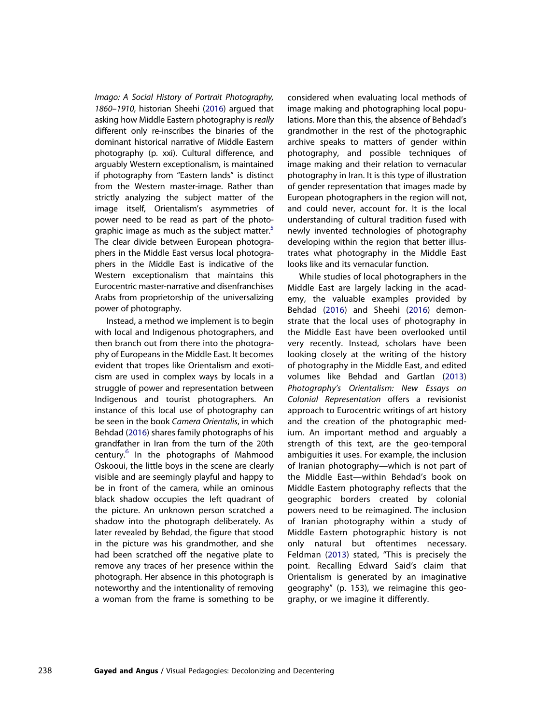Imago: A Social History of Portrait Photography, 1860–1910, historian Sheehi ([2016\)](#page-14-19) argued that asking how Middle Eastern photography is really different only re-inscribes the binaries of the dominant historical narrative of Middle Eastern photography (p. xxi). Cultural difference, and arguably Western exceptionalism, is maintained if photography from "Eastern lands" is distinct from the Western master-image. Rather than strictly analyzing the subject matter of the image itself, Orientalism's asymmetries of power need to be read as part of the photographic image as much as the subject matter. $5$ The clear divide between European photographers in the Middle East versus local photographers in the Middle East is indicative of the Western exceptionalism that maintains this Eurocentric master-narrative and disenfranchises Arabs from proprietorship of the universalizing power of photography.

Instead, a method we implement is to begin with local and Indigenous photographers, and then branch out from there into the photography of Europeans in the Middle East. It becomes evident that tropes like Orientalism and exoticism are used in complex ways by locals in a struggle of power and representation between Indigenous and tourist photographers. An instance of this local use of photography can be seen in the book Camera Orientalis, in which Behdad [\(2016\)](#page-13-13) shares family photographs of his grandfather in Iran from the turn of the 20th century[.6](#page-15-5) In the photographs of Mahmood Oskooui, the little boys in the scene are clearly visible and are seemingly playful and happy to be in front of the camera, while an ominous black shadow occupies the left quadrant of the picture. An unknown person scratched a shadow into the photograph deliberately. As later revealed by Behdad, the figure that stood in the picture was his grandmother, and she had been scratched off the negative plate to remove any traces of her presence within the photograph. Her absence in this photograph is noteworthy and the intentionality of removing a woman from the frame is something to be considered when evaluating local methods of image making and photographing local populations. More than this, the absence of Behdad's grandmother in the rest of the photographic archive speaks to matters of gender within photography, and possible techniques of image making and their relation to vernacular photography in Iran. It is this type of illustration of gender representation that images made by European photographers in the region will not, and could never, account for. It is the local understanding of cultural tradition fused with newly invented technologies of photography developing within the region that better illustrates what photography in the Middle East looks like and its vernacular function.

<span id="page-11-1"></span><span id="page-11-0"></span>While studies of local photographers in the Middle East are largely lacking in the academy, the valuable examples provided by Behdad ([2016](#page-13-13)) and Sheehi ([2016\)](#page-14-19) demonstrate that the local uses of photography in the Middle East have been overlooked until very recently. Instead, scholars have been looking closely at the writing of the history of photography in the Middle East, and edited volumes like Behdad and Gartlan [\(2013](#page-13-15)) Photography's Orientalism: New Essays on Colonial Representation offers a revisionist approach to Eurocentric writings of art history and the creation of the photographic medium. An important method and arguably a strength of this text, are the geo-temporal ambiguities it uses. For example, the inclusion of Iranian photography—which is not part of the Middle East—within Behdad's book on Middle Eastern photography reflects that the geographic borders created by colonial powers need to be reimagined. The inclusion of Iranian photography within a study of Middle Eastern photographic history is not only natural but oftentimes necessary. Feldman ([2013](#page-13-16)) stated, "This is precisely the point. Recalling Edward Said's claim that Orientalism is generated by an imaginative geography" (p. 153), we reimagine this geography, or we imagine it differently.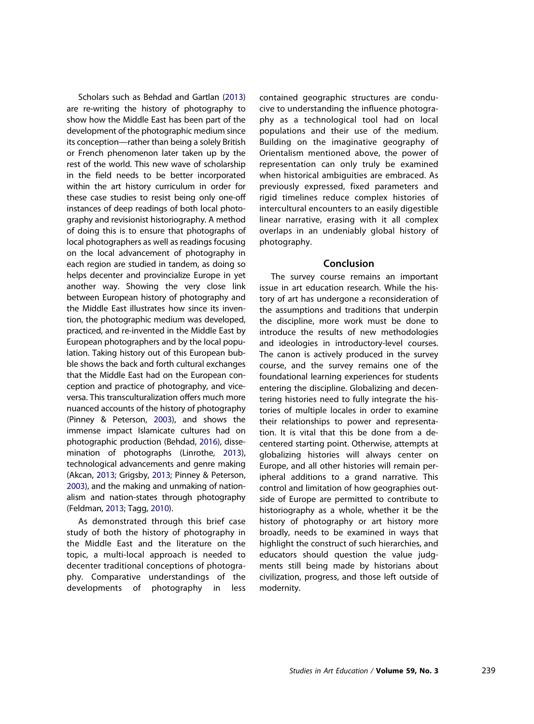Scholars such as Behdad and Gartlan [\(2013\)](#page-13-15) are re-writing the history of photography to show how the Middle East has been part of the development of the photographic medium since its conception—rather than being a solely British or French phenomenon later taken up by the rest of the world. This new wave of scholarship in the field needs to be better incorporated within the art history curriculum in order for these case studies to resist being only one-off instances of deep readings of both local photography and revisionist historiography. A method of doing this is to ensure that photographs of local photographers as well as readings focusing on the local advancement of photography in each region are studied in tandem, as doing so helps decenter and provincialize Europe in yet another way. Showing the very close link between European history of photography and the Middle East illustrates how since its invention, the photographic medium was developed, practiced, and re-invented in the Middle East by European photographers and by the local population. Taking history out of this European bubble shows the back and forth cultural exchanges that the Middle East had on the European conception and practice of photography, and viceversa. This transculturalization offers much more nuanced accounts of the history of photography (Pinney & Peterson, [2003](#page-14-9)), and shows the immense impact Islamicate cultures had on photographic production (Behdad, [2016](#page-13-13)), dissemination of photographs (Linrothe, [2013\)](#page-14-20), technological advancements and genre making (Akcan, [2013](#page-13-17); Grigsby, [2013;](#page-13-18) Pinney & Peterson, [2003](#page-14-9)), and the making and unmaking of nationalism and nation-states through photography (Feldman, [2013;](#page-13-16) Tagg, [2010](#page-14-11)).

<span id="page-12-1"></span><span id="page-12-0"></span>As demonstrated through this brief case study of both the history of photography in the Middle East and the literature on the topic, a multi-local approach is needed to decenter traditional conceptions of photography. Comparative understandings of the developments of photography in less contained geographic structures are conducive to understanding the influence photography as a technological tool had on local populations and their use of the medium. Building on the imaginative geography of Orientalism mentioned above, the power of representation can only truly be examined when historical ambiguities are embraced. As previously expressed, fixed parameters and rigid timelines reduce complex histories of intercultural encounters to an easily digestible linear narrative, erasing with it all complex overlaps in an undeniably global history of photography.

#### Conclusion

The survey course remains an important issue in art education research. While the history of art has undergone a reconsideration of the assumptions and traditions that underpin the discipline, more work must be done to introduce the results of new methodologies and ideologies in introductory-level courses. The canon is actively produced in the survey course, and the survey remains one of the foundational learning experiences for students entering the discipline. Globalizing and decentering histories need to fully integrate the histories of multiple locales in order to examine their relationships to power and representation. It is vital that this be done from a decentered starting point. Otherwise, attempts at globalizing histories will always center on Europe, and all other histories will remain peripheral additions to a grand narrative. This control and limitation of how geographies outside of Europe are permitted to contribute to historiography as a whole, whether it be the history of photography or art history more broadly, needs to be examined in ways that highlight the construct of such hierarchies, and educators should question the value judgments still being made by historians about civilization, progress, and those left outside of modernity.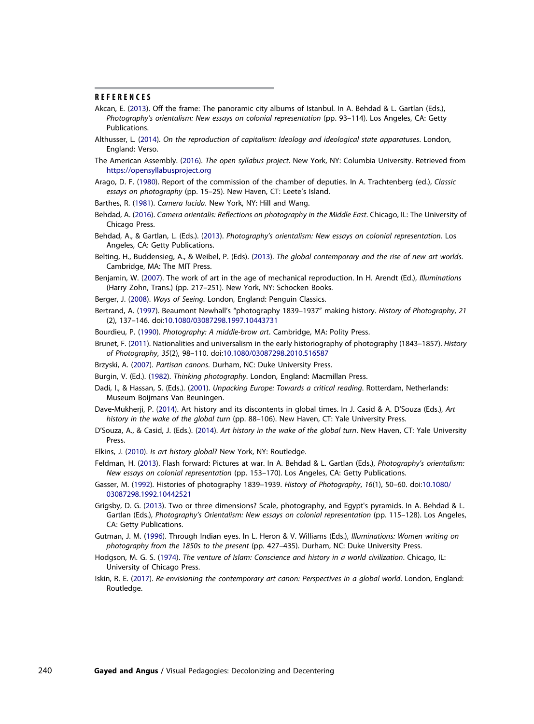#### **REFERENCES**

- <span id="page-13-17"></span>Akcan, E. ([2013](#page-12-0)). Off the frame: The panoramic city albums of Istanbul. In A. Behdad & L. Gartlan (Eds.), Photography's orientalism: New essays on colonial representation (pp. 93–114). Los Angeles, CA: Getty Publications.
- <span id="page-13-5"></span>Althusser, L. ([2014\)](#page-4-0). On the reproduction of capitalism: Ideology and ideological state apparatuses. London, England: Verso.
- <span id="page-13-11"></span>The American Assembly. [\(2016\)](#page-5-0). The open syllabus project. New York, NY: Columbia University. Retrieved from <https://opensyllabusproject.org>
- <span id="page-13-14"></span>Arago, D. F. [\(1980\)](#page-10-0). Report of the commission of the chamber of deputies. In A. Trachtenberg (ed.), Classic essays on photography (pp. 15–25). New Haven, CT: Leete's Island.
- <span id="page-13-6"></span>Barthes, R. [\(1981\)](#page-4-0). Camera lucida. New York, NY: Hill and Wang.
- <span id="page-13-13"></span>Behdad, A. [\(2016\)](#page-10-1). Camera orientalis: Reflections on photography in the Middle East. Chicago, IL: The University of Chicago Press.
- <span id="page-13-15"></span>Behdad, A., & Gartlan, L. (Eds.). [\(2013\)](#page-10-2). Photography's orientalism: New essays on colonial representation. Los Angeles, CA: Getty Publications.
- <span id="page-13-19"></span>Belting, H., Buddensieg, A., & Weibel, P. (Eds). ([2013](#page-15-6)). The global contemporary and the rise of new art worlds. Cambridge, MA: The MIT Press.
- <span id="page-13-7"></span>Benjamin, W. ([2007](#page-4-1)). The work of art in the age of mechanical reproduction. In H. Arendt (Ed.), Illuminations (Harry Zohn, Trans.) (pp. 217–251). New York, NY: Schocken Books.
- <span id="page-13-8"></span>Berger, J. [\(2008\)](#page-4-1). Ways of Seeing. London, England: Penguin Classics.
- <span id="page-13-4"></span>Bertrand, A. [\(1997\)](#page-4-2). Beaumont Newhall's "photography 1839–1937" making history. History of Photography, 21 (2), 137–146. doi[:10.1080/03087298.1997.10443731](http://dx.doi.org/10.1080/03087298.1997.10443731)
- <span id="page-13-9"></span>Bourdieu, P. [\(1990\)](#page-4-3). Photography: A middle-brow art. Cambridge, MA: Polity Press.
- <span id="page-13-3"></span>Brunet, F. [\(2011\)](#page-4-4). Nationalities and universalism in the early historiography of photography (1843–1857). History of Photography, 35(2), 98–110. doi:[10.1080/03087298.2010.516587](http://dx.doi.org/10.1080/03087298.2010.516587)
- <span id="page-13-0"></span>Brzyski, A. ([2007](#page-2-0)). Partisan canons. Durham, NC: Duke University Press.
- <span id="page-13-10"></span>Burgin, V. (Ed.). [\(1982\)](#page-4-5). Thinking photography. London, England: Macmillan Press.
- <span id="page-13-20"></span>Dadi, I., & Hassan, S. (Eds.). [\(2001\)](#page-15-6). Unpacking Europe: Towards a critical reading. Rotterdam, Netherlands: Museum Boijmans Van Beuningen.
- <span id="page-13-21"></span>Dave-Mukherji, P. ([2014](#page-15-6)). Art history and its discontents in global times. In J. Casid & A. D'Souza (Eds.), Art history in the wake of the global turn (pp. 88–106). New Haven, CT: Yale University Press.
- <span id="page-13-22"></span>D'Souza, A., & Casid, J. (Eds.). ([2014](#page-15-7)). Art history in the wake of the global turn. New Haven, CT: Yale University Press.
- <span id="page-13-23"></span>Elkins, J. [\(2010\)](#page-15-7). Is art history global? New York, NY: Routledge.
- <span id="page-13-16"></span>Feldman, H. [\(2013](#page-11-0)). Flash forward: Pictures at war. In A. Behdad & L. Gartlan (Eds.), Photography's orientalism: New essays on colonial representation (pp. 153–170). Los Angeles, CA: Getty Publications.
- <span id="page-13-2"></span>Gasser, M. [\(1992\)](#page-4-6). Histories of photography 1839–1939. History of Photography, 16(1), 50–60. doi:[10.1080/](http://dx.doi.org/10.1080/03087298.1992.10442521) [03087298.1992.10442521](http://dx.doi.org/10.1080/03087298.1992.10442521)
- <span id="page-13-18"></span>Grigsby, D. G. ([2013](#page-12-0)). Two or three dimensions? Scale, photography, and Egypt's pyramids. In A. Behdad & L. Gartlan (Eds.), Photography's Orientalism: New essays on colonial representation (pp. 115–128). Los Angeles, CA: Getty Publications.
- <span id="page-13-12"></span>Gutman, J. M. [\(1996](#page-7-0)). Through Indian eyes. In L. Heron & V. Williams (Eds.), Illuminations: Women writing on photography from the 1850s to the present (pp. 427–435). Durham, NC: Duke University Press.
- <span id="page-13-24"></span>Hodgson, M. G. S. [\(1974](#page-15-8)). The venture of Islam: Conscience and history in a world civilization. Chicago, IL: University of Chicago Press.
- <span id="page-13-1"></span>Iskin, R. E. ([2017](#page-2-1)). Re-envisioning the contemporary art canon: Perspectives in a global world. London, England: Routledge.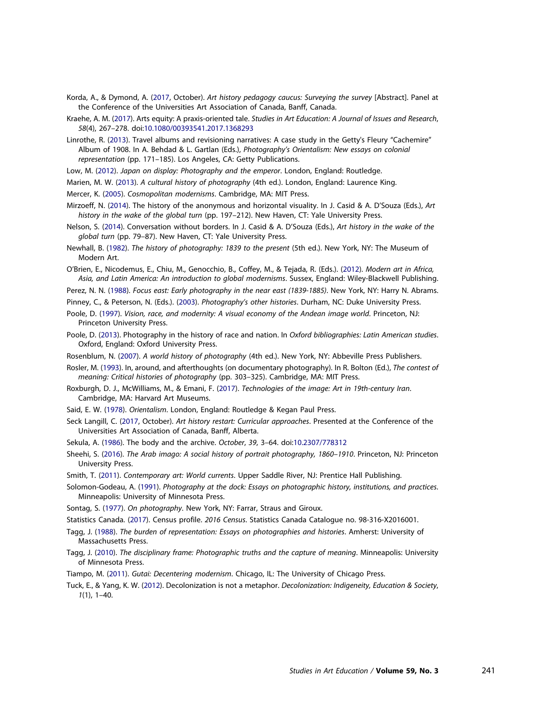- <span id="page-14-16"></span>Korda, A., & Dymond, A. ([2017,](#page-7-1) October). Art history pedagogy caucus: Surveying the survey [Abstract]. Panel at the Conference of the Universities Art Association of Canada, Banff, Canada.
- <span id="page-14-1"></span>Kraehe, A. M. ([2017](#page-3-0)). Arts equity: A praxis-oriented tale. Studies in Art Education: A Journal of Issues and Research, 58(4), 267–278. doi[:10.1080/00393541.2017.1368293](http://dx.doi.org/10.1080/00393541.2017.1368293)
- <span id="page-14-20"></span>Linrothe, R. ([2013](#page-12-1)). Travel albums and revisioning narratives: A case study in the Getty's Fleury "Cachemire" Album of 1908. In A. Behdad & L. Gartlan (Eds.), Photography's Orientalism: New essays on colonial representation (pp. 171–185). Los Angeles, CA: Getty Publications.
- <span id="page-14-8"></span>Low, M. [\(2012\)](#page-5-1). Japan on display: Photography and the emperor. London, England: Routledge.
- <span id="page-14-12"></span>Marien, M. W. [\(2013\)](#page-5-2). A cultural history of photography (4th ed.). London, England: Laurence King.
- <span id="page-14-21"></span>Mercer, K. [\(2005](#page-15-7)). Cosmopolitan modernisms. Cambridge, MA: MIT Press.
- <span id="page-14-22"></span>Mirzoeff, N. ([2014](#page-15-7)). The history of the anonymous and horizontal visuality. In J. Casid & A. D'Souza (Eds.), Art history in the wake of the global turn (pp. 197-212). New Haven, CT: Yale University Press.
- <span id="page-14-23"></span>Nelson, S. ([2014](#page-15-7)). Conversation without borders. In J. Casid & A. D'Souza (Eds.), Art history in the wake of the global turn (pp. 79-87). New Haven, CT: Yale University Press.
- <span id="page-14-14"></span>Newhall, B. ([1982](#page-5-3)). The history of photography: 1839 to the present (5th ed.). New York, NY: The Museum of Modern Art.
- <span id="page-14-24"></span>O'Brien, E., Nicodemus, E., Chiu, M., Genocchio, B., Coffey, M., & Tejada, R. (Eds.). ([2012](#page-15-7)). Modern art in Africa, Asia, and Latin America: An introduction to global modernisms. Sussex, England: Wiley-Blackwell Publishing.
- <span id="page-14-18"></span>Perez, N. N. [\(1988](#page-10-3)). Focus east: Early photography in the near east (1839-1885). New York, NY: Harry N. Abrams.
- <span id="page-14-9"></span>Pinney, C., & Peterson, N. (Eds.). ([2003](#page-5-4)). Photography's other histories. Durham, NC: Duke University Press.
- <span id="page-14-10"></span>Poole, D. [\(1997](#page-5-4)). Vision, race, and modernity: A visual economy of the Andean image world. Princeton, NJ: Princeton University Press.
- <span id="page-14-15"></span>Poole, D. [\(2013\)](#page-7-2). Photography in the history of race and nation. In Oxford bibliographies: Latin American studies. Oxford, England: Oxford University Press.
- <span id="page-14-13"></span>Rosenblum, N. ([2007\)](#page-5-5). A world history of photography (4th ed.). New York, NY: Abbeville Press Publishers.
- <span id="page-14-5"></span>Rosler, M. [\(1993\)](#page-4-7). In, around, and afterthoughts (on documentary photography). In R. Bolton (Ed.), The contest of meaning: Critical histories of photography (pp. 303–325). Cambridge, MA: MIT Press.
- <span id="page-14-25"></span>Roxburgh, D. J., McWilliams, M., & Emani, F. ([2017](#page-15-9)). Technologies of the image: Art in 19th-century Iran. Cambridge, MA: Harvard Art Museums.
- <span id="page-14-28"></span>Said, E. W. ([1978\)](#page-15-10). Orientalism. London, England: Routledge & Kegan Paul Press.
- <span id="page-14-17"></span>Seck Langill, C. [\(2017,](#page-8-0) October). Art history restart: Curricular approaches. Presented at the Conference of the Universities Art Association of Canada, Banff, Alberta.
- <span id="page-14-6"></span>Sekula, A. [\(1986\)](#page-4-7). The body and the archive. October, 39, 3–64. doi[:10.2307/778312](http://dx.doi.org/10.2307/778312)
- <span id="page-14-19"></span>Sheehi, S. [\(2016\)](#page-11-1). The Arab imago: A social history of portrait photography, 1860-1910. Princeton, NJ: Princeton University Press.
- <span id="page-14-26"></span>Smith, T. [\(2011\)](#page-15-9). Contemporary art: World currents. Upper Saddle River, NJ: Prentice Hall Publishing.
- <span id="page-14-7"></span>Solomon-Godeau, A. ([1991](#page-4-7)). Photography at the dock: Essays on photographic history, institutions, and practices. Minneapolis: University of Minnesota Press.
- <span id="page-14-4"></span>Sontag, S. [\(1977\)](#page-4-1). On photography. New York, NY: Farrar, Straus and Giroux.
- <span id="page-14-2"></span>Statistics Canada. ([2017](#page-3-1)). Census profile. 2016 Census. Statistics Canada Catalogue no. 98-316-X2016001.
- <span id="page-14-3"></span>Tagg, J. ([1988](#page-4-8)). The burden of representation: Essays on photographies and histories. Amherst: University of Massachusetts Press.
- <span id="page-14-11"></span>Tagg, J. ([2010\)](#page-5-4). The disciplinary frame: Photographic truths and the capture of meaning. Minneapolis: University of Minnesota Press.
- <span id="page-14-27"></span>Tiampo, M. ([2011](#page-15-9)). Gutai: Decentering modernism. Chicago, IL: The University of Chicago Press.
- <span id="page-14-0"></span>Tuck, E., & Yang, K. W. ([2012](#page-2-2)). Decolonization is not a metaphor. Decolonization: Indigeneity, Education & Society,  $1(1), 1-40.$